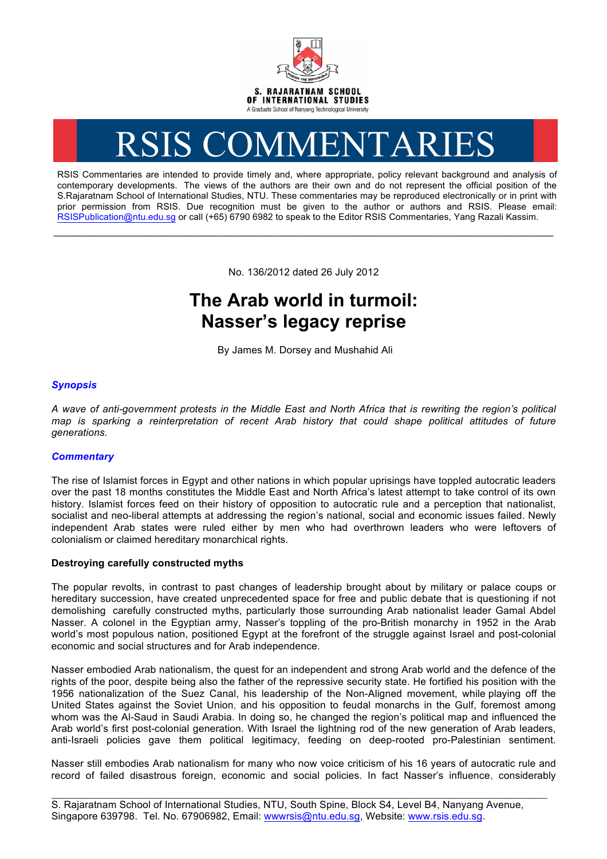

# RSIS COMMENTARIES

RSIS Commentaries are intended to provide timely and, where appropriate, policy relevant background and analysis of contemporary developments. The views of the authors are their own and do not represent the official position of the S.Rajaratnam School of International Studies, NTU. These commentaries may be reproduced electronically or in print with prior permission from RSIS. Due recognition must be given to the author or authors and RSIS. Please email: RSISPublication@ntu.edu.sg or call (+65) 6790 6982 to speak to the Editor RSIS Commentaries, Yang Razali Kassim.

No. 136/2012 dated 26 July 2012

**\_\_\_\_\_\_\_\_\_\_\_\_\_\_\_\_\_\_\_\_\_\_\_\_\_\_\_\_\_\_\_\_\_\_\_\_\_\_\_\_\_\_\_\_\_\_\_\_\_\_\_\_\_\_\_\_\_\_\_\_\_\_\_\_\_\_\_\_\_\_\_\_\_\_\_\_\_\_\_\_\_\_\_\_\_\_\_\_\_\_\_\_\_\_\_\_\_\_**

# **The Arab world in turmoil: Nasser's legacy reprise**

By James M. Dorsey and Mushahid Ali

## *Synopsis*

*A wave of anti-government protests in the Middle East and North Africa that is rewriting the region's political map is sparking a reinterpretation of recent Arab history that could shape political attitudes of future generations.*

### *Commentary*

The rise of Islamist forces in Egypt and other nations in which popular uprisings have toppled autocratic leaders over the past 18 months constitutes the Middle East and North Africa's latest attempt to take control of its own history. Islamist forces feed on their history of opposition to autocratic rule and a perception that nationalist, socialist and neo-liberal attempts at addressing the region's national, social and economic issues failed. Newly independent Arab states were ruled either by men who had overthrown leaders who were leftovers of colonialism or claimed hereditary monarchical rights.

#### **Destroying carefully constructed myths**

The popular revolts, in contrast to past changes of leadership brought about by military or palace coups or hereditary succession, have created unprecedented space for free and public debate that is questioning if not demolishing carefully constructed myths, particularly those surrounding Arab nationalist leader Gamal Abdel Nasser. A colonel in the Egyptian army, Nasser's toppling of the pro-British monarchy in 1952 in the Arab world's most populous nation, positioned Egypt at the forefront of the struggle against Israel and post-colonial economic and social structures and for Arab independence.

Nasser embodied Arab nationalism, the quest for an independent and strong Arab world and the defence of the rights of the poor, despite being also the father of the repressive security state. He fortified his position with the 1956 nationalization of the Suez Canal, his leadership of the Non-Aligned movement, while playing off the United States against the Soviet Union, and his opposition to feudal monarchs in the Gulf, foremost among whom was the Al-Saud in Saudi Arabia. In doing so, he changed the region's political map and influenced the Arab world's first post-colonial generation. With Israel the lightning rod of the new generation of Arab leaders, anti-Israeli policies gave them political legitimacy, feeding on deep-rooted pro-Palestinian sentiment.

Nasser still embodies Arab nationalism for many who now voice criticism of his 16 years of autocratic rule and record of failed disastrous foreign, economic and social policies. In fact Nasser's influence, considerably

\_\_\_\_\_\_\_\_\_\_\_\_\_\_\_\_\_\_\_\_\_\_\_\_\_\_\_\_\_\_\_\_\_\_\_\_\_\_\_\_\_\_\_\_\_\_\_\_\_\_\_\_\_\_\_\_\_\_\_\_\_\_\_\_\_\_\_\_\_\_\_\_\_\_\_\_\_\_\_\_\_